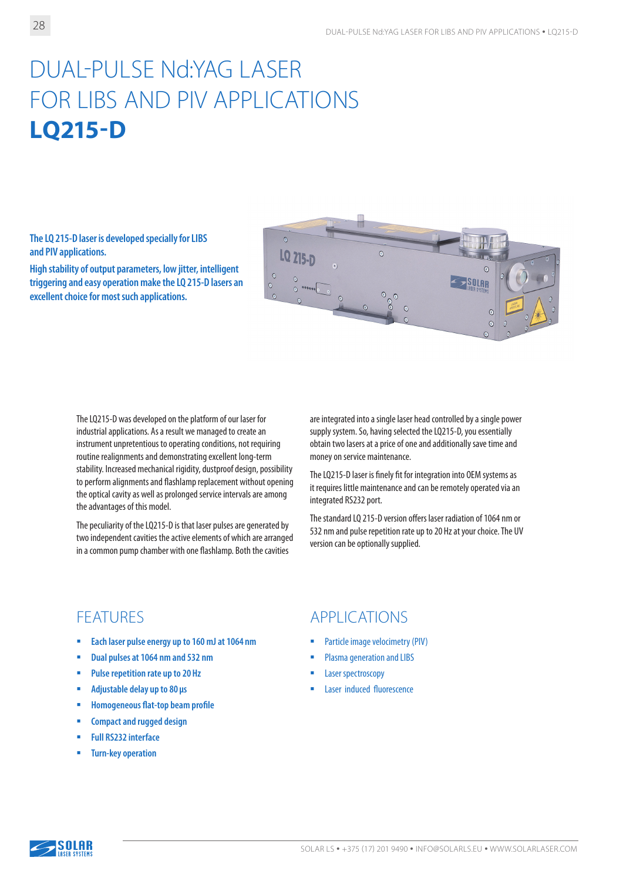# DUAL-PULSE Nd:YAG LASER FOR LIBS AND PIV APPLICATIONS **LQ215-D**

**The LQ 215-D laser is developed specially for LIBS and PIV applications.** 

**High stability of output parameters, low jitter, intelligent triggering and easy operation make the LQ 215-D lasers an excellent choice for most such applications.**



The LQ215-D was developed on the platform of our laser for industrial applications. As a result we managed to create an instrument unpretentious to operating conditions, not requiring routine realignments and demonstrating excellent long-term stability. Increased mechanical rigidity, dustproof design, possibility to perform alignments and flashlamp replacement without opening the optical cavity as well as prolonged service intervals are among the advantages of this model.

The peculiarity of the LQ215-D is that laser pulses are generated by two independent cavities the active elements of which are arranged in a common pump chamber with one flashlamp. Both the cavities

are integrated into a single laser head controlled by a single power supply system. So, having selected the LQ215-D, you essentially obtain two lasers at a price of one and additionally save time and money on service maintenance.

The LQ215-D laser is finely fit for integration into OEM systems as it requires little maintenance and can be remotely operated via an integrated RS232 port.

The standard LQ 215-D version offers laser radiation of 1064 nm or 532 nm and pulse repetition rate up to 20 Hz at your choice. The UV version can be optionally supplied.

- **Each laser pulse energy up to 160 mJ at 1064 nm**
- **Dual pulses at 1064 nm and 532 nm**
- **Pulse repetition rate up to 20 Hz**
- **Adjustable delay up to 80 µs**
- **Homogeneous flat-top beam profile**
- **E** Compact and rugged design
- **Full RS232 interface**
- **Turn-key operation**

### FEATURES APPLICATIONS

- **Particle image velocimetry (PIV)**
- Plasma generation and LIBS
- Laser spectroscopy
- Laser induced fluorescence